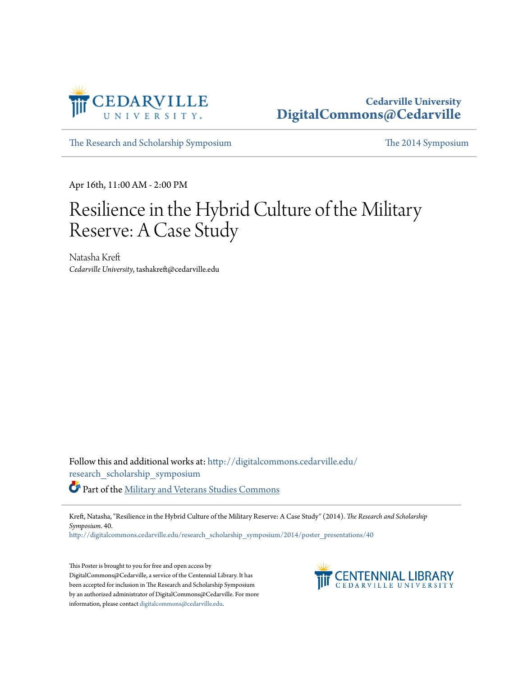

#### **Cedarville University [DigitalCommons@Cedarville](http://digitalcommons.cedarville.edu?utm_source=digitalcommons.cedarville.edu%2Fresearch_scholarship_symposium%2F2014%2Fposter_presentations%2F40&utm_medium=PDF&utm_campaign=PDFCoverPages)**

[The Research and Scholarship Symposium](http://digitalcommons.cedarville.edu/research_scholarship_symposium?utm_source=digitalcommons.cedarville.edu%2Fresearch_scholarship_symposium%2F2014%2Fposter_presentations%2F40&utm_medium=PDF&utm_campaign=PDFCoverPages) [The 2014 Symposium](http://digitalcommons.cedarville.edu/research_scholarship_symposium/2014?utm_source=digitalcommons.cedarville.edu%2Fresearch_scholarship_symposium%2F2014%2Fposter_presentations%2F40&utm_medium=PDF&utm_campaign=PDFCoverPages)

Apr 16th, 11:00 AM - 2:00 PM

### Resilience in the Hybrid Culture of the Military Reserve: A Case Study

Natasha Kreft *Cedarville University*, tashakreft@cedarville.edu

Follow this and additional works at: [http://digitalcommons.cedarville.edu/](http://digitalcommons.cedarville.edu/research_scholarship_symposium?utm_source=digitalcommons.cedarville.edu%2Fresearch_scholarship_symposium%2F2014%2Fposter_presentations%2F40&utm_medium=PDF&utm_campaign=PDFCoverPages) [research\\_scholarship\\_symposium](http://digitalcommons.cedarville.edu/research_scholarship_symposium?utm_source=digitalcommons.cedarville.edu%2Fresearch_scholarship_symposium%2F2014%2Fposter_presentations%2F40&utm_medium=PDF&utm_campaign=PDFCoverPages) Part of the [Military and Veterans Studies Commons](http://network.bepress.com/hgg/discipline/396?utm_source=digitalcommons.cedarville.edu%2Fresearch_scholarship_symposium%2F2014%2Fposter_presentations%2F40&utm_medium=PDF&utm_campaign=PDFCoverPages)

Kreft, Natasha, "Resilience in the Hybrid Culture of the Military Reserve: A Case Study" (2014). *The Research and Scholarship Symposium*. 40.

[http://digitalcommons.cedarville.edu/research\\_scholarship\\_symposium/2014/poster\\_presentations/40](http://digitalcommons.cedarville.edu/research_scholarship_symposium/2014/poster_presentations/40?utm_source=digitalcommons.cedarville.edu%2Fresearch_scholarship_symposium%2F2014%2Fposter_presentations%2F40&utm_medium=PDF&utm_campaign=PDFCoverPages)

This Poster is brought to you for free and open access by DigitalCommons@Cedarville, a service of the Centennial Library. It has been accepted for inclusion in The Research and Scholarship Symposium by an authorized administrator of DigitalCommons@Cedarville. For more information, please contact [digitalcommons@cedarville.edu.](mailto:digitalcommons@cedarville.edu)